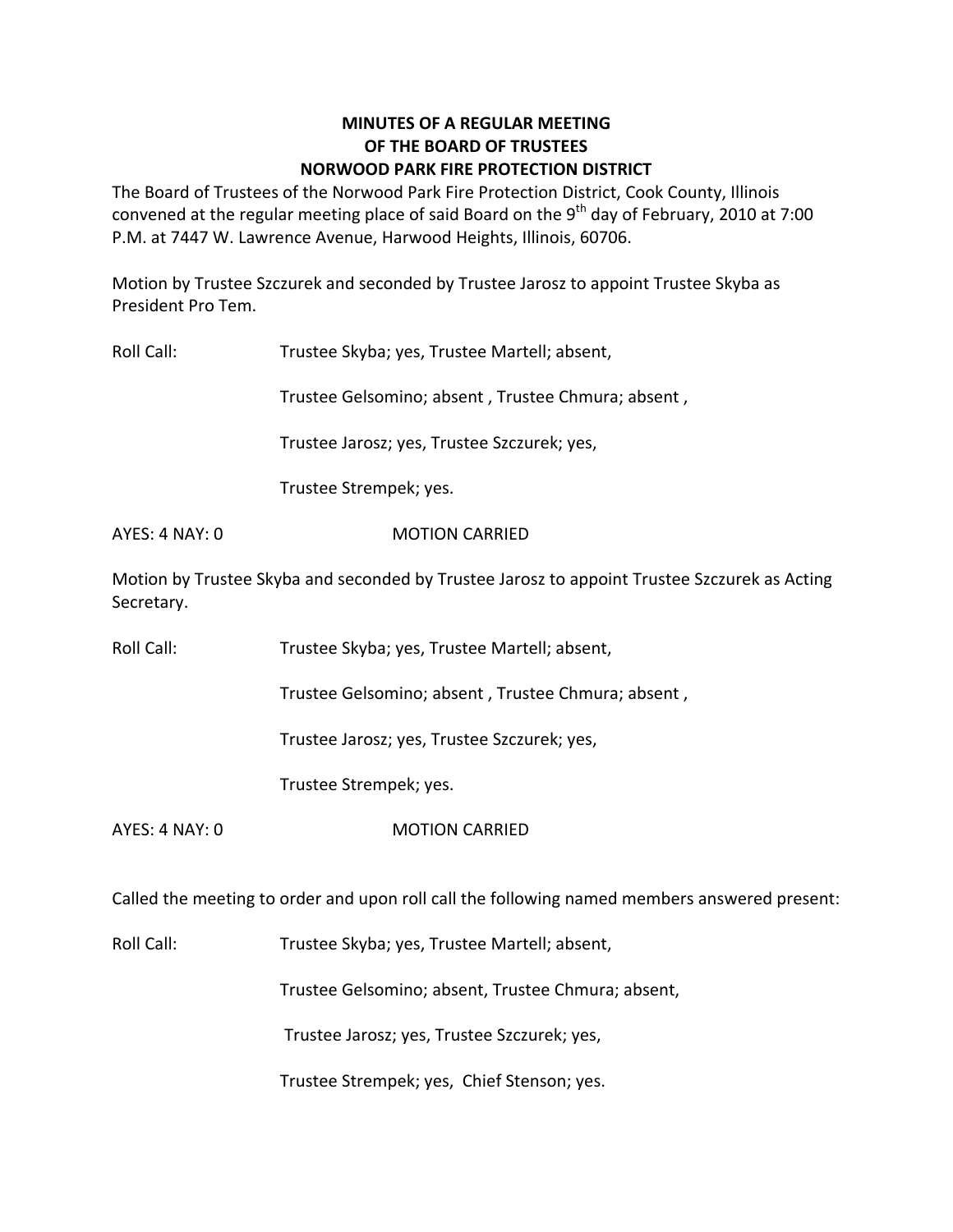## **MINUTES OF A REGULAR MEETING OF THE BOARD OF TRUSTEES NORWOOD PARK FIRE PROTECTION DISTRICT**

The Board of Trustees of the Norwood Park Fire Protection District, Cook County, Illinois convened at the regular meeting place of said Board on the 9<sup>th</sup> day of February, 2010 at 7:00 P.M. at 7447 W. Lawrence Avenue, Harwood Heights, Illinois, 60706.

Motion by Trustee Szczurek and seconded by Trustee Jarosz to appoint Trustee Skyba as President Pro Tem.

Roll Call: Trustee Skyba; yes, Trustee Martell; absent,

Trustee Gelsomino; absent , Trustee Chmura; absent ,

Trustee Jarosz; yes, Trustee Szczurek; yes,

Trustee Strempek; yes.

### AYES: 4 NAY: 0 **MOTION CARRIED**

Motion by Trustee Skyba and seconded by Trustee Jarosz to appoint Trustee Szczurek as Acting Secretary.

Roll Call: Trustee Skyba; yes, Trustee Martell; absent,

Trustee Gelsomino; absent , Trustee Chmura; absent ,

Trustee Jarosz; yes, Trustee Szczurek; yes,

Trustee Strempek; yes.

AYES: 4 NAY: 0 MOTION CARRIED

Called the meeting to order and upon roll call the following named members answered present:

Roll Call: Trustee Skyba; yes, Trustee Martell; absent,

Trustee Gelsomino; absent, Trustee Chmura; absent,

Trustee Jarosz; yes, Trustee Szczurek; yes,

Trustee Strempek; yes, Chief Stenson; yes.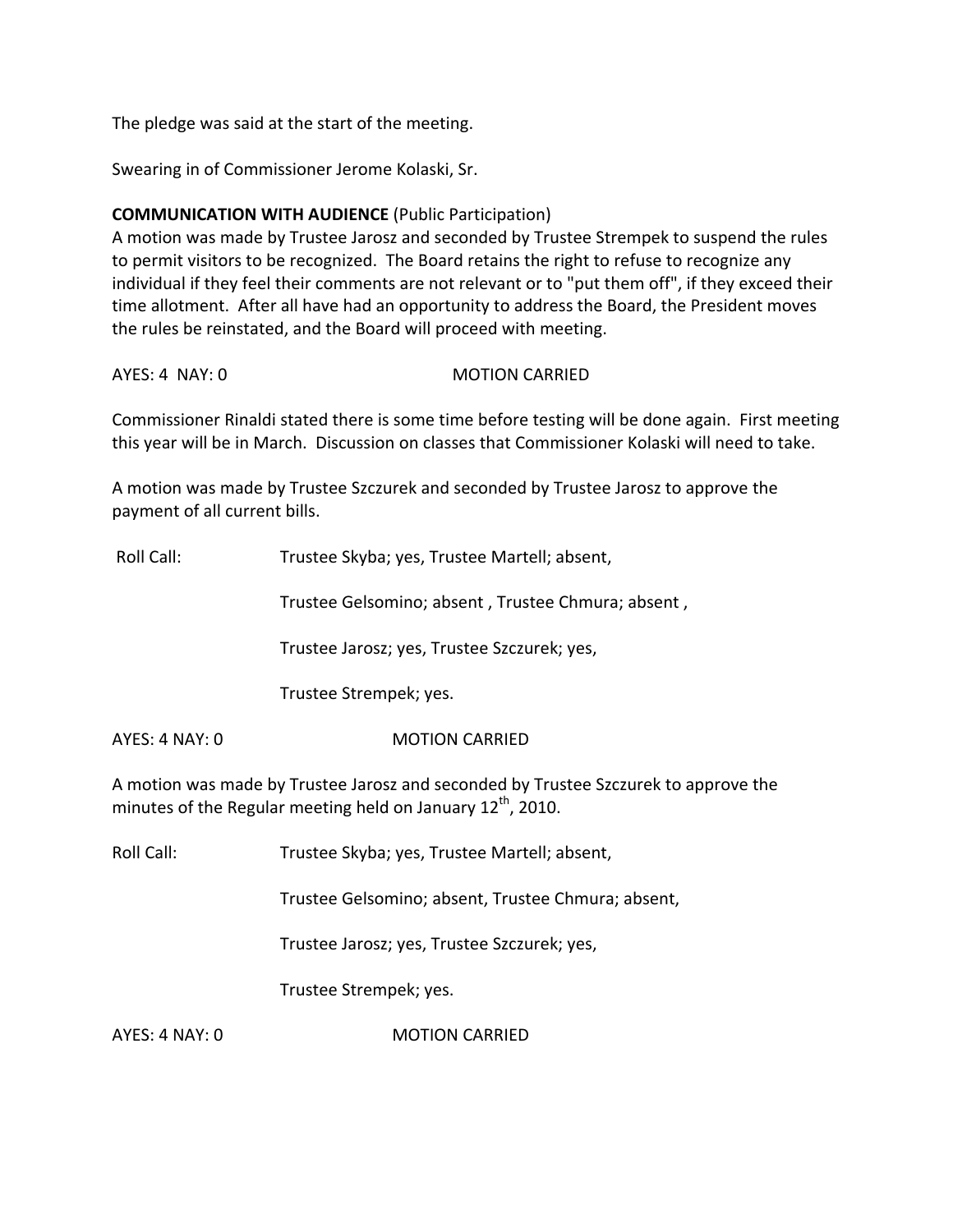The pledge was said at the start of the meeting.

Swearing in of Commissioner Jerome Kolaski, Sr.

# **COMMUNICATION WITH AUDIENCE** (Public Participation)

A motion was made by Trustee Jarosz and seconded by Trustee Strempek to suspend the rules to permit visitors to be recognized. The Board retains the right to refuse to recognize any individual if they feel their comments are not relevant or to "put them off", if they exceed their time allotment. After all have had an opportunity to address the Board, the President moves the rules be reinstated, and the Board will proceed with meeting.

AYES: 4 NAY: 0 MOTION CARRIED

Commissioner Rinaldi stated there is some time before testing will be done again. First meeting this year will be in March. Discussion on classes that Commissioner Kolaski will need to take.

A motion was made by Trustee Szczurek and seconded by Trustee Jarosz to approve the payment of all current bills.

Roll Call: Trustee Skyba; yes, Trustee Martell; absent,

Trustee Gelsomino; absent , Trustee Chmura; absent ,

Trustee Jarosz; yes, Trustee Szczurek; yes,

Trustee Strempek; yes.

AYES: 4 NAY: 0 MOTION CARRIED

A motion was made by Trustee Jarosz and seconded by Trustee Szczurek to approve the minutes of the Regular meeting held on January 12<sup>th</sup>, 2010.

Roll Call: Trustee Skyba; yes, Trustee Martell; absent,

Trustee Gelsomino; absent, Trustee Chmura; absent,

Trustee Jarosz; yes, Trustee Szczurek; yes,

Trustee Strempek; yes.

AYES: 4 NAY: 0 **MOTION CARRIED**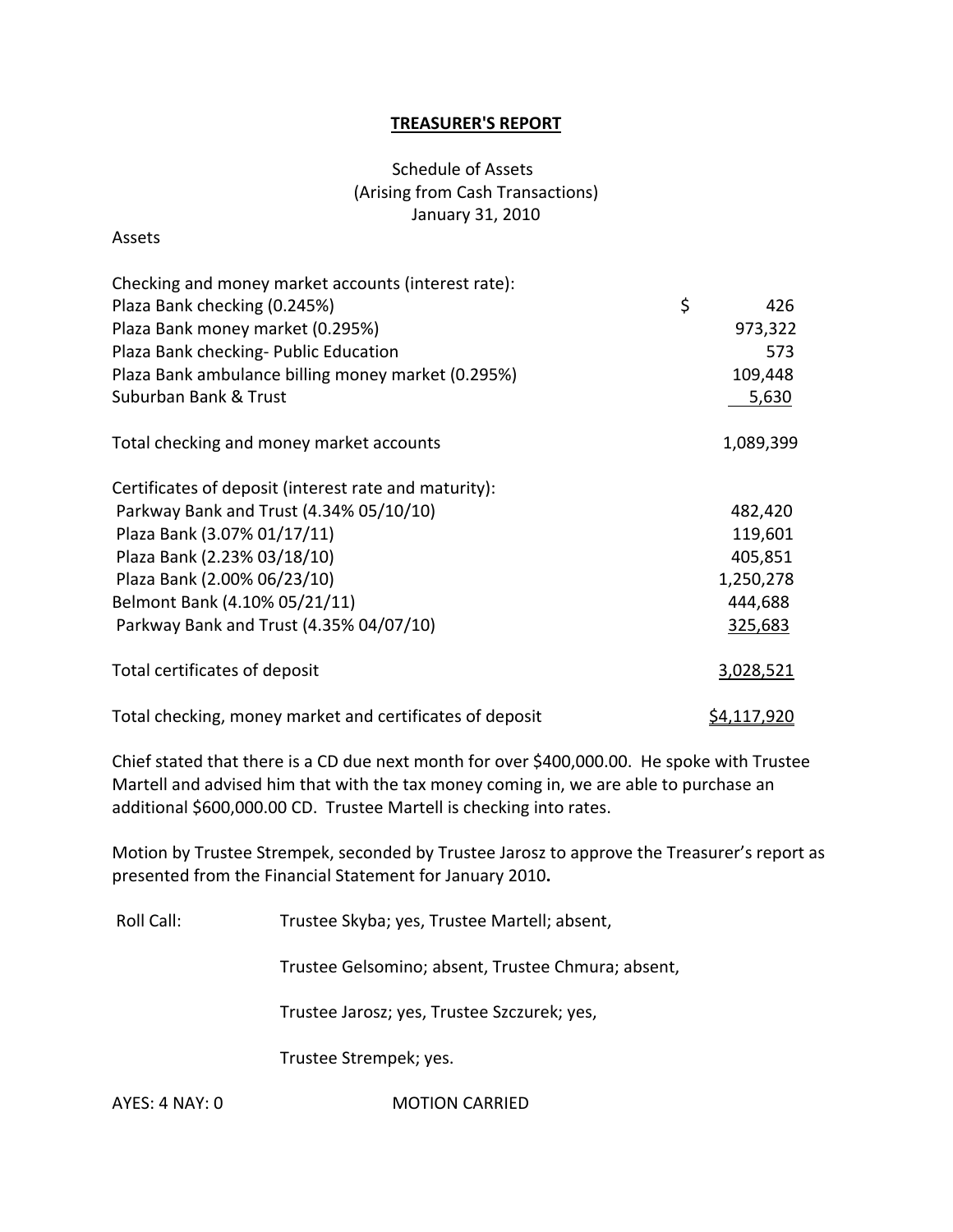### **TREASURER'S REPORT**

# Schedule of Assets (Arising from Cash Transactions) January 31, 2010

#### Assets

| Checking and money market accounts (interest rate):      |                    |
|----------------------------------------------------------|--------------------|
| Plaza Bank checking (0.245%)                             | \$<br>426          |
| Plaza Bank money market (0.295%)                         | 973,322            |
| Plaza Bank checking- Public Education                    | 573                |
| Plaza Bank ambulance billing money market (0.295%)       | 109,448            |
| Suburban Bank & Trust                                    | 5,630              |
| Total checking and money market accounts                 | 1,089,399          |
| Certificates of deposit (interest rate and maturity):    |                    |
| Parkway Bank and Trust (4.34% 05/10/10)                  | 482,420            |
| Plaza Bank (3.07% 01/17/11)                              | 119,601            |
| Plaza Bank (2.23% 03/18/10)                              | 405,851            |
| Plaza Bank (2.00% 06/23/10)                              | 1,250,278          |
| Belmont Bank (4.10% 05/21/11)                            | 444,688            |
| Parkway Bank and Trust (4.35% 04/07/10)                  | 325,683            |
| Total certificates of deposit                            | 3,028,521          |
| Total checking, money market and certificates of deposit | <u>\$4,117,920</u> |

Chief stated that there is a CD due next month for over \$400,000.00. He spoke with Trustee Martell and advised him that with the tax money coming in, we are able to purchase an additional \$600,000.00 CD. Trustee Martell is checking into rates.

Motion by Trustee Strempek, seconded by Trustee Jarosz to approve the Treasurer's report as presented from the Financial Statement for January 2010**.**

Roll Call: Trustee Skyba; yes, Trustee Martell; absent,

Trustee Gelsomino; absent, Trustee Chmura; absent,

Trustee Jarosz; yes, Trustee Szczurek; yes,

Trustee Strempek; yes.

AYES: 4 NAY: 0 **MOTION CARRIED**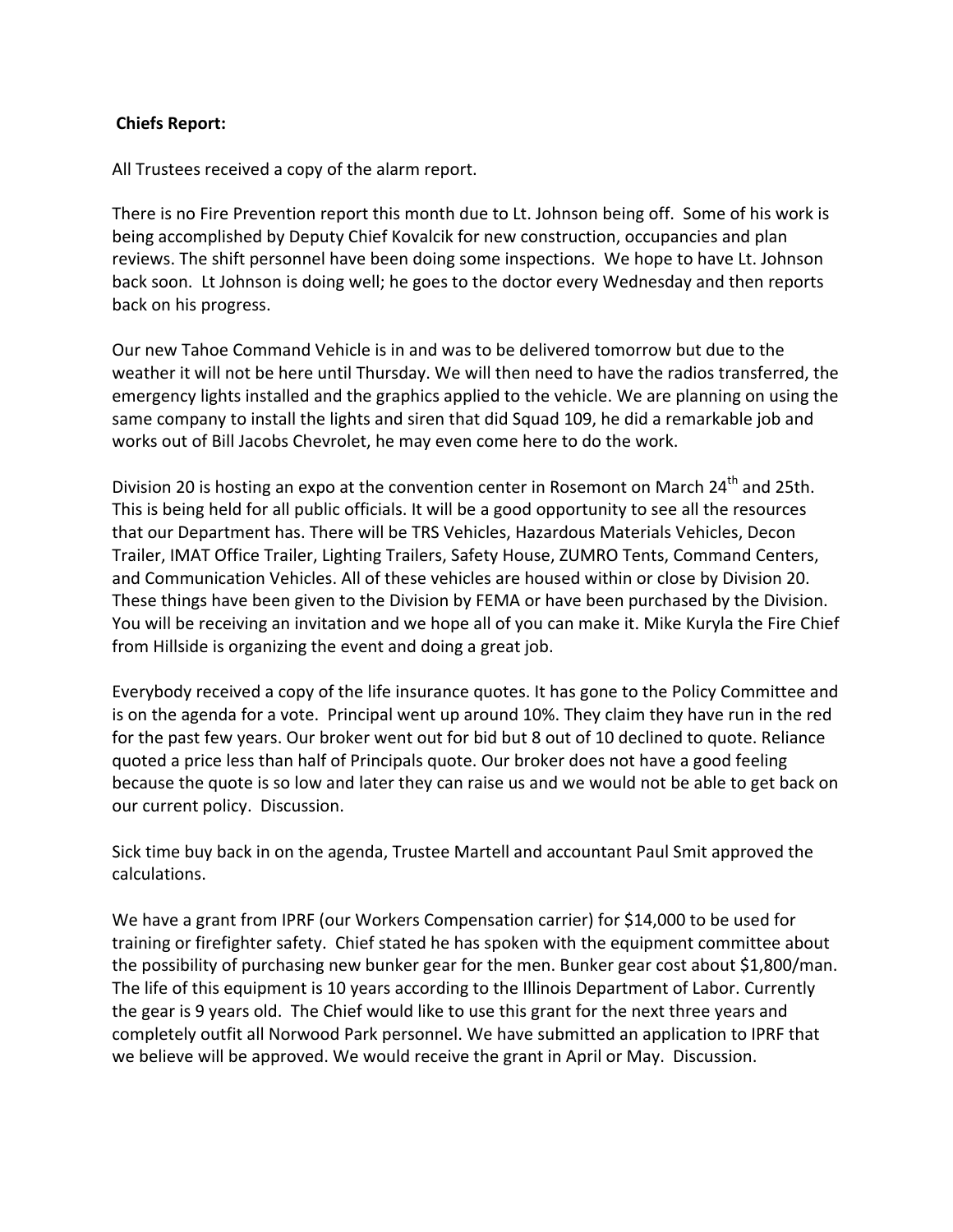### **Chiefs Report:**

All Trustees received a copy of the alarm report.

There is no Fire Prevention report this month due to Lt. Johnson being off. Some of his work is being accomplished by Deputy Chief Kovalcik for new construction, occupancies and plan reviews. The shift personnel have been doing some inspections. We hope to have Lt. Johnson back soon. Lt Johnson is doing well; he goes to the doctor every Wednesday and then reports back on his progress.

Our new Tahoe Command Vehicle is in and was to be delivered tomorrow but due to the weather it will not be here until Thursday. We will then need to have the radios transferred, the emergency lights installed and the graphics applied to the vehicle. We are planning on using the same company to install the lights and siren that did Squad 109, he did a remarkable job and works out of Bill Jacobs Chevrolet, he may even come here to do the work.

Division 20 is hosting an expo at the convention center in Rosemont on March  $24<sup>th</sup>$  and 25th. This is being held for all public officials. It will be a good opportunity to see all the resources that our Department has. There will be TRS Vehicles, Hazardous Materials Vehicles, Decon Trailer, IMAT Office Trailer, Lighting Trailers, Safety House, ZUMRO Tents, Command Centers, and Communication Vehicles. All of these vehicles are housed within or close by Division 20. These things have been given to the Division by FEMA or have been purchased by the Division. You will be receiving an invitation and we hope all of you can make it. Mike Kuryla the Fire Chief from Hillside is organizing the event and doing a great job.

Everybody received a copy of the life insurance quotes. It has gone to the Policy Committee and is on the agenda for a vote. Principal went up around 10%. They claim they have run in the red for the past few years. Our broker went out for bid but 8 out of 10 declined to quote. Reliance quoted a price less than half of Principals quote. Our broker does not have a good feeling because the quote is so low and later they can raise us and we would not be able to get back on our current policy. Discussion.

Sick time buy back in on the agenda, Trustee Martell and accountant Paul Smit approved the calculations.

We have a grant from IPRF (our Workers Compensation carrier) for \$14,000 to be used for training or firefighter safety. Chief stated he has spoken with the equipment committee about the possibility of purchasing new bunker gear for the men. Bunker gear cost about \$1,800/man. The life of this equipment is 10 years according to the Illinois Department of Labor. Currently the gear is 9 years old. The Chief would like to use this grant for the next three years and completely outfit all Norwood Park personnel. We have submitted an application to IPRF that we believe will be approved. We would receive the grant in April or May. Discussion.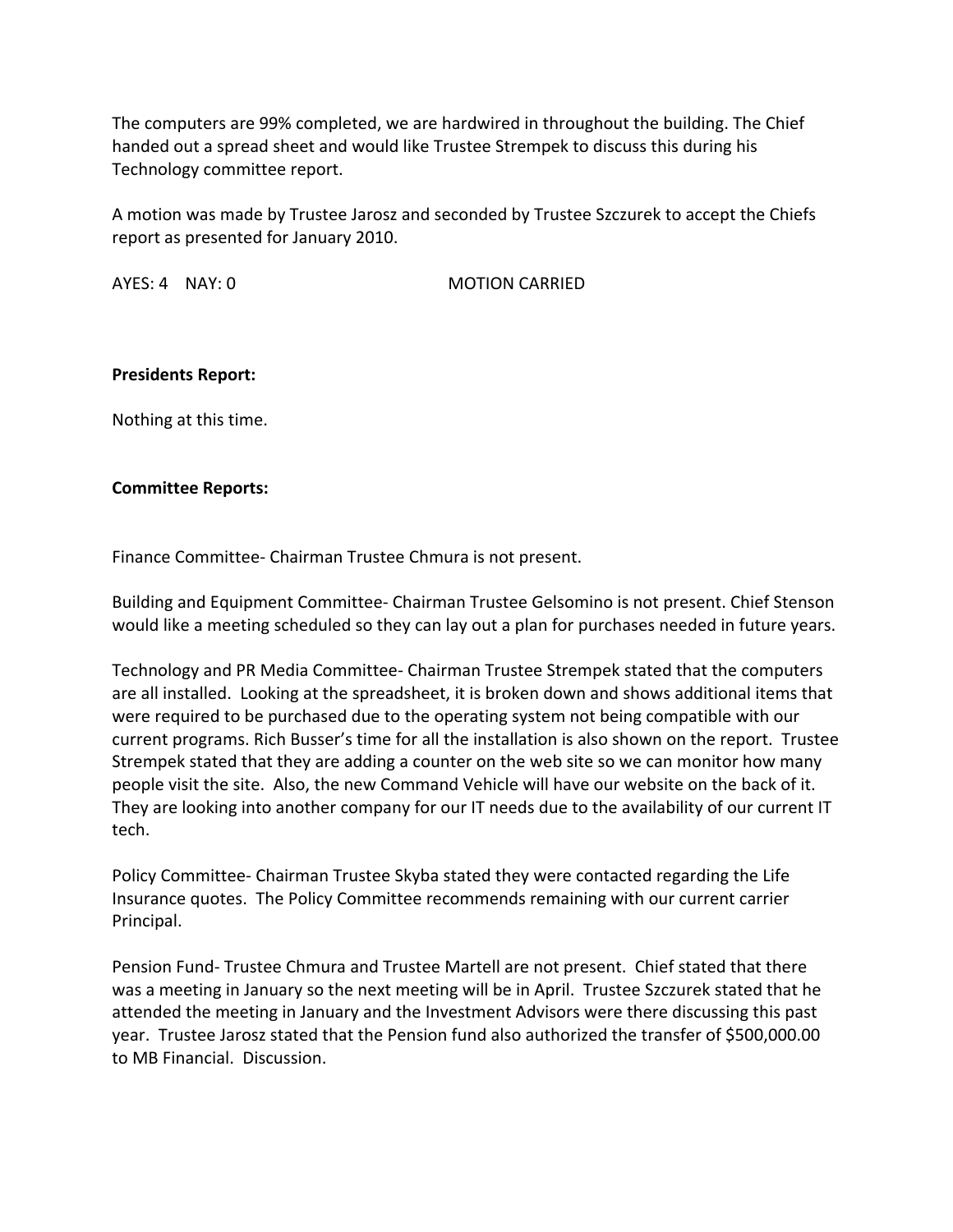The computers are 99% completed, we are hardwired in throughout the building. The Chief handed out a spread sheet and would like Trustee Strempek to discuss this during his Technology committee report.

A motion was made by Trustee Jarosz and seconded by Trustee Szczurek to accept the Chiefs report as presented for January 2010.

AYES: 4 NAY: 0 **MOTION CARRIED** 

### **Presidents Report:**

Nothing at this time.

### **Committee Reports:**

Finance Committee‐ Chairman Trustee Chmura is not present.

Building and Equipment Committee‐ Chairman Trustee Gelsomino is not present. Chief Stenson would like a meeting scheduled so they can lay out a plan for purchases needed in future years.

Technology and PR Media Committee‐ Chairman Trustee Strempek stated that the computers are all installed. Looking at the spreadsheet, it is broken down and shows additional items that were required to be purchased due to the operating system not being compatible with our current programs. Rich Busser's time for all the installation is also shown on the report. Trustee Strempek stated that they are adding a counter on the web site so we can monitor how many people visit the site. Also, the new Command Vehicle will have our website on the back of it. They are looking into another company for our IT needs due to the availability of our current IT tech.

Policy Committee‐ Chairman Trustee Skyba stated they were contacted regarding the Life Insurance quotes. The Policy Committee recommends remaining with our current carrier Principal.

Pension Fund‐ Trustee Chmura and Trustee Martell are not present. Chief stated that there was a meeting in January so the next meeting will be in April. Trustee Szczurek stated that he attended the meeting in January and the Investment Advisors were there discussing this past year. Trustee Jarosz stated that the Pension fund also authorized the transfer of \$500,000.00 to MB Financial. Discussion.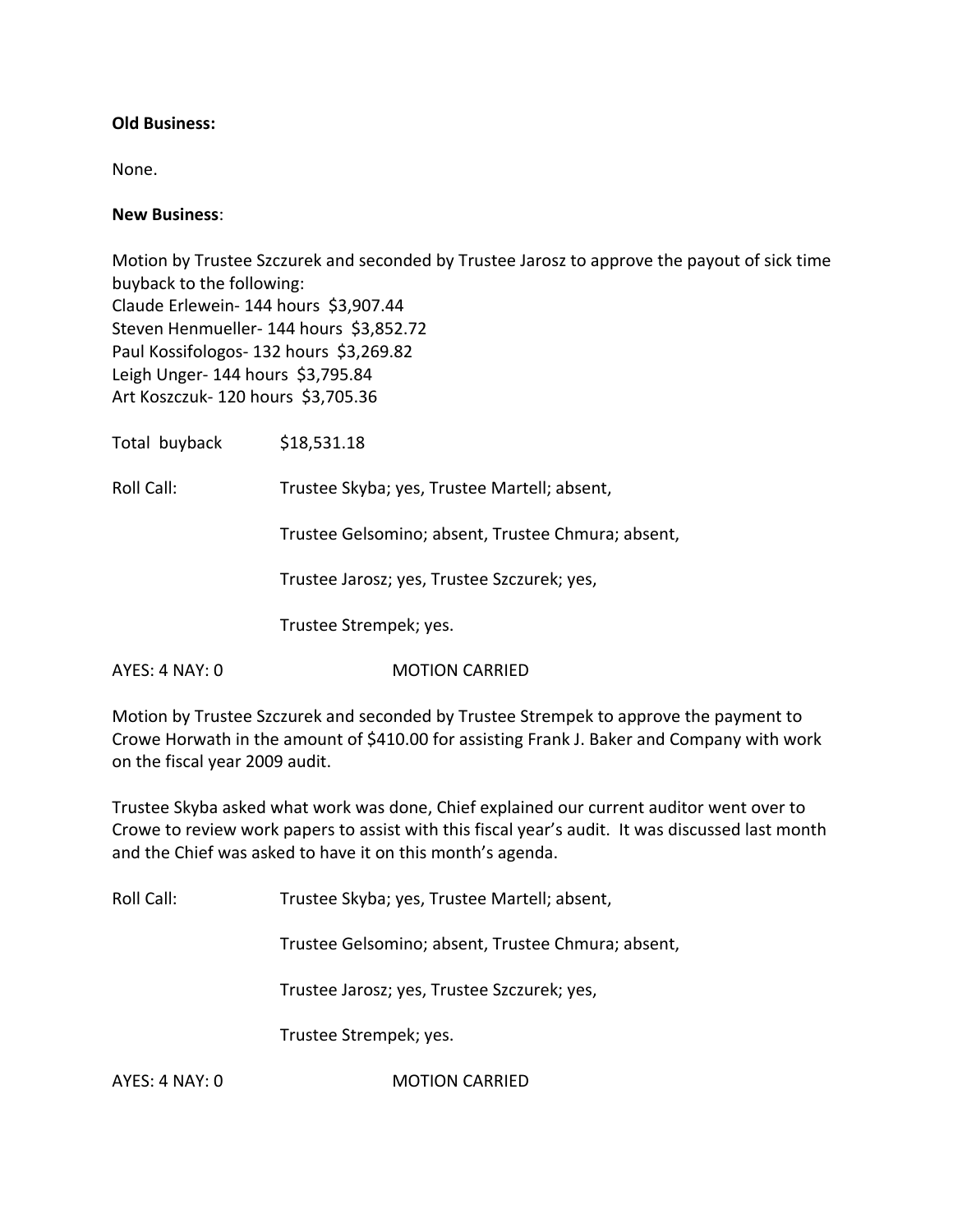### **Old Business:**

None.

#### **New Business**:

Motion by Trustee Szczurek and seconded by Trustee Jarosz to approve the payout of sick time buyback to the following: Claude Erlewein‐ 144 hours \$3,907.44 Steven Henmueller- 144 hours \$3,852.72 Paul Kossifologos- 132 hours \$3,269.82 Leigh Unger‐ 144 hours \$3,795.84 Art Koszczuk‐ 120 hours \$3,705.36

Total buyback \$18,531.18

Roll Call: Trustee Skyba; yes, Trustee Martell; absent,

Trustee Gelsomino; absent, Trustee Chmura; absent,

Trustee Jarosz; yes, Trustee Szczurek; yes,

Trustee Strempek; yes.

AYES: 4 NAY: 0 **MOTION CARRIED** 

Motion by Trustee Szczurek and seconded by Trustee Strempek to approve the payment to Crowe Horwath in the amount of \$410.00 for assisting Frank J. Baker and Company with work on the fiscal year 2009 audit.

Trustee Skyba asked what work was done, Chief explained our current auditor went over to Crowe to review work papers to assist with this fiscal year's audit. It was discussed last month and the Chief was asked to have it on this month's agenda.

Roll Call: Trustee Skyba; yes, Trustee Martell; absent,

Trustee Gelsomino; absent, Trustee Chmura; absent,

Trustee Jarosz; yes, Trustee Szczurek; yes,

Trustee Strempek; yes.

AYES: 4 NAY: 0 **MOTION CARRIED**